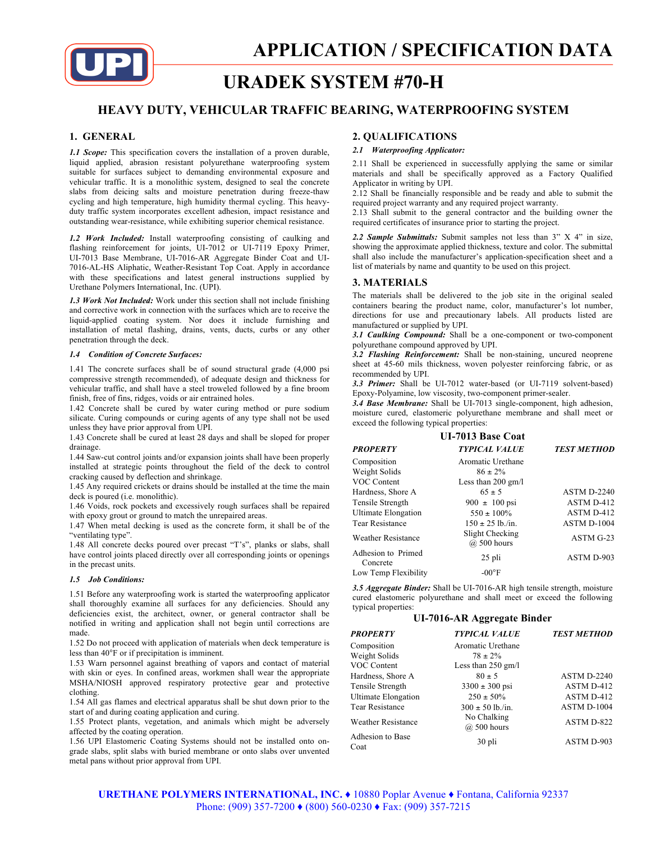

# **URADEK SYSTEM #70-H**

# **HEAVY DUTY, VEHICULAR TRAFFIC BEARING, WATERPROOFING SYSTEM**

# **1. GENERAL**

*1.1 Scope:* This specification covers the installation of a proven durable, liquid applied, abrasion resistant polyurethane waterproofing system suitable for surfaces subject to demanding environmental exposure and vehicular traffic. It is a monolithic system, designed to seal the concrete slabs from deicing salts and moisture penetration during freeze-thaw cycling and high temperature, high humidity thermal cycling. This heavyduty traffic system incorporates excellent adhesion, impact resistance and outstanding wear-resistance, while exhibiting superior chemical resistance.

*1.2 Work Included:* Install waterproofing consisting of caulking and flashing reinforcement for joints, UI-7012 or UI-7119 Epoxy Primer, UI-7013 Base Membrane, UI-7016-AR Aggregate Binder Coat and UI-7016-AL-HS Aliphatic, Weather-Resistant Top Coat. Apply in accordance with these specifications and latest general instructions supplied by Urethane Polymers International, Inc. (UPI).

*1.3 Work Not Included:* Work under this section shall not include finishing and corrective work in connection with the surfaces which are to receive the liquid-applied coating system. Nor does it include furnishing and installation of metal flashing, drains, vents, ducts, curbs or any other penetration through the deck.

#### *1.4 Condition of Concrete Surfaces:*

1.41 The concrete surfaces shall be of sound structural grade (4,000 psi compressive strength recommended), of adequate design and thickness for vehicular traffic, and shall have a steel troweled followed by a fine broom finish, free of fins, ridges, voids or air entrained holes.

1.42 Concrete shall be cured by water curing method or pure sodium silicate. Curing compounds or curing agents of any type shall not be used unless they have prior approval from UPI.

1.43 Concrete shall be cured at least 28 days and shall be sloped for proper drainage.

1.44 Saw-cut control joints and/or expansion joints shall have been properly installed at strategic points throughout the field of the deck to control cracking caused by deflection and shrinkage.

1.45 Any required crickets or drains should be installed at the time the main deck is poured (i.e. monolithic).

1.46 Voids, rock pockets and excessively rough surfaces shall be repaired with epoxy grout or ground to match the unrepaired areas.

1.47 When metal decking is used as the concrete form, it shall be of the "ventilating type".

1.48 All concrete decks poured over precast "T's", planks or slabs, shall have control joints placed directly over all corresponding joints or openings in the precast units.

#### *1.5 Job Conditions:*

1.51 Before any waterproofing work is started the waterproofing applicator shall thoroughly examine all surfaces for any deficiencies. Should any deficiencies exist, the architect, owner, or general contractor shall be notified in writing and application shall not begin until corrections are made.

1.52 Do not proceed with application of materials when deck temperature is less than 40°F or if precipitation is imminent.

1.53 Warn personnel against breathing of vapors and contact of material with skin or eyes. In confined areas, workmen shall wear the appropriate MSHA/NIOSH approved respiratory protective gear and protective clothing.

1.54 All gas flames and electrical apparatus shall be shut down prior to the start of and during coating application and curing.

1.55 Protect plants, vegetation, and animals which might be adversely affected by the coating operation.

1.56 UPI Elastomeric Coating Systems should not be installed onto ongrade slabs, split slabs with buried membrane or onto slabs over unvented metal pans without prior approval from UPI.

# **2. QUALIFICATIONS**

# *2.1 Waterproofing Applicator:*

2.11 Shall be experienced in successfully applying the same or similar materials and shall be specifically approved as a Factory Qualified Applicator in writing by UPI.

2.12 Shall be financially responsible and be ready and able to submit the required project warranty and any required project warranty.

2.13 Shall submit to the general contractor and the building owner the required certificates of insurance prior to starting the project.

*2.2 Sample Submittals:* Submit samples not less than 3" X 4" in size, showing the approximate applied thickness, texture and color. The submittal shall also include the manufacturer's application-specification sheet and a list of materials by name and quantity to be used on this project.

## **3. MATERIALS**

The materials shall be delivered to the job site in the original sealed containers bearing the product name, color, manufacturer's lot number, directions for use and precautionary labels. All products listed are manufactured or supplied by UPI.

*3.1 Caulking Compound:* Shall be a one-component or two-component polyurethane compound approved by UPI.

*3.2 Flashing Reinforcement:* Shall be non-staining, uncured neoprene sheet at 45-60 mils thickness, woven polyester reinforcing fabric, or as recommended by UPI.

*3.3 Primer:* Shall be UI-7012 water-based (or UI-7119 solvent-based) Epoxy-Polyamine, low viscosity, two-component primer-sealer.

*3.4 Base Membrane:* Shall be UI-7013 single-component, high adhesion, moisture cured, elastomeric polyurethane membrane and shall meet or exceed the following typical properties:

| <b>UI-7013 Base Coat</b>       |                                |                    |  |  |
|--------------------------------|--------------------------------|--------------------|--|--|
| <b>PROPERTY</b>                | <b>TYPICAL VALUE</b>           | <b>TEST METHOD</b> |  |  |
| Composition                    | Aromatic Urethane              |                    |  |  |
| Weight Solids                  | $86 \pm 2\%$                   |                    |  |  |
| VOC Content                    | Less than $200 \text{ gm/l}$   |                    |  |  |
| Hardness, Shore A              | $65 \pm 5$                     | ASTM D-2240        |  |  |
| Tensile Strength               | $900 \pm 100 \,\text{psi}$     | ASTM D-412         |  |  |
| <b>Ultimate Elongation</b>     | $550 \pm 100\%$                | ASTM D-412         |  |  |
| <b>Tear Resistance</b>         | $150 \pm 25$ lb./in.           | ASTM D-1004        |  |  |
| <b>Weather Resistance</b>      | Slight Checking<br>@ 500 hours | ASTM G-23          |  |  |
| Adhesion to Primed<br>Concrete | 25 pli                         | ASTM D-903         |  |  |
| Low Temp Flexibility           | $-00^{\circ}$ F                |                    |  |  |

*3.5 Aggregate Binder:* Shall be UI-7016-AR high tensile strength, moisture cured elastomeric polyurethane and shall meet or exceed the following typical properties:

# **UI-7016-AR Aggregate Binder**

| <b>PROPERTY</b>            | <b>TYPICAL VALUE</b>       | <b>TEST METHOD</b> |
|----------------------------|----------------------------|--------------------|
| Composition                | Aromatic Urethane          |                    |
| Weight Solids              | $78 \pm 2\%$               |                    |
| VOC Content                | Less than $250$ gm/l       |                    |
| Hardness, Shore A          | $80 \pm 5$                 | ASTM D-2240        |
| Tensile Strength           | $3300 \pm 300$ psi         | ASTM D-412         |
| <b>Ultimate Elongation</b> | $250 \pm 50\%$             | ASTM D-412         |
| Tear Resistance            | $300 \pm 50$ lb./in.       | ASTM D-1004        |
| <b>Weather Resistance</b>  | No Chalking<br>@ 500 hours | ASTM D-822         |
| Adhesion to Base<br>Coat   | 30 pli                     | ASTM D-903         |

**URETHANE POLYMERS INTERNATIONAL, INC. ♦** 10880 Poplar Avenue **♦** Fontana, California 92337 Phone: (909) 357-7200 **♦** (800) 560-0230 **♦** Fax: (909) 357-7215